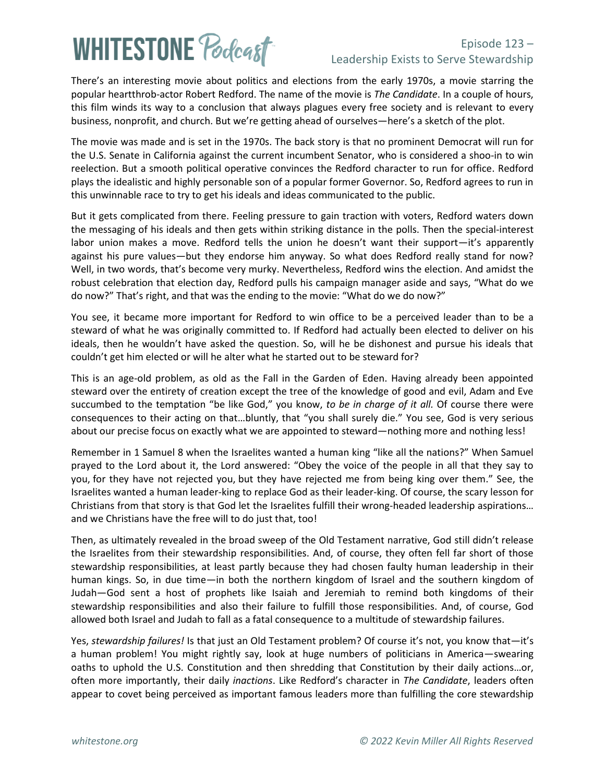# **WHITESTONE Poclast**

### Episode 123 – Leadership Exists to Serve Stewardship

There's an interesting movie about politics and elections from the early 1970s, a movie starring the popular heartthrob-actor Robert Redford. The name of the movie is *The Candidate*. In a couple of hours, this film winds its way to a conclusion that always plagues every free society and is relevant to every business, nonprofit, and church. But we're getting ahead of ourselves—here's a sketch of the plot.

The movie was made and is set in the 1970s. The back story is that no prominent Democrat will run for the U.S. Senate in California against the current incumbent Senator, who is considered a shoo-in to win reelection. But a smooth political operative convinces the Redford character to run for office. Redford plays the idealistic and highly personable son of a popular former Governor. So, Redford agrees to run in this unwinnable race to try to get his ideals and ideas communicated to the public.

But it gets complicated from there. Feeling pressure to gain traction with voters, Redford waters down the messaging of his ideals and then gets within striking distance in the polls. Then the special-interest labor union makes a move. Redford tells the union he doesn't want their support—it's apparently against his pure values—but they endorse him anyway. So what does Redford really stand for now? Well, in two words, that's become very murky. Nevertheless, Redford wins the election. And amidst the robust celebration that election day, Redford pulls his campaign manager aside and says, "What do we do now?" That's right, and that was the ending to the movie: "What do we do now?"

You see, it became more important for Redford to win office to be a perceived leader than to be a steward of what he was originally committed to. If Redford had actually been elected to deliver on his ideals, then he wouldn't have asked the question. So, will he be dishonest and pursue his ideals that couldn't get him elected or will he alter what he started out to be steward for?

This is an age-old problem, as old as the Fall in the Garden of Eden. Having already been appointed steward over the entirety of creation except the tree of the knowledge of good and evil, Adam and Eve succumbed to the temptation "be like God," you know, *to be in charge of it all.* Of course there were consequences to their acting on that…bluntly, that "you shall surely die." You see, God is very serious about our precise focus on exactly what we are appointed to steward—nothing more and nothing less!

Remember in 1 Samuel 8 when the Israelites wanted a human king "like all the nations?" When Samuel prayed to the Lord about it, the Lord answered: "Obey the voice of the people in all that they say to you, for they have not rejected you, but they have rejected me from being king over them." See, the Israelites wanted a human leader-king to replace God as their leader-king. Of course, the scary lesson for Christians from that story is that God let the Israelites fulfill their wrong-headed leadership aspirations… and we Christians have the free will to do just that, too!

Then, as ultimately revealed in the broad sweep of the Old Testament narrative, God still didn't release the Israelites from their stewardship responsibilities. And, of course, they often fell far short of those stewardship responsibilities, at least partly because they had chosen faulty human leadership in their human kings. So, in due time—in both the northern kingdom of Israel and the southern kingdom of Judah—God sent a host of prophets like Isaiah and Jeremiah to remind both kingdoms of their stewardship responsibilities and also their failure to fulfill those responsibilities. And, of course, God allowed both Israel and Judah to fall as a fatal consequence to a multitude of stewardship failures.

Yes, *stewardship failures!* Is that just an Old Testament problem? Of course it's not, you know that—it's a human problem! You might rightly say, look at huge numbers of politicians in America—swearing oaths to uphold the U.S. Constitution and then shredding that Constitution by their daily actions…or, often more importantly, their daily *inactions*. Like Redford's character in *The Candidate*, leaders often appear to covet being perceived as important famous leaders more than fulfilling the core stewardship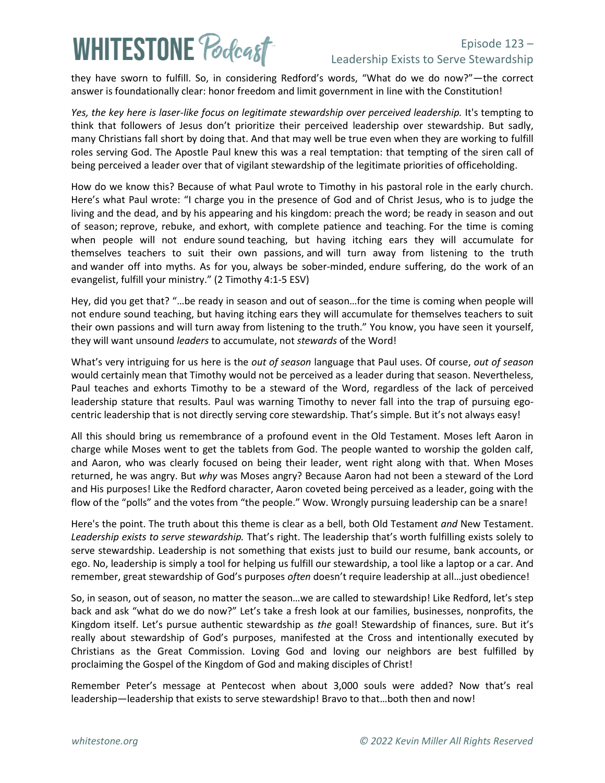## **WHITESTONE Podcast**

### Episode 123 – Leadership Exists to Serve Stewardship

they have sworn to fulfill. So, in considering Redford's words, "What do we do now?"—the correct answer is foundationally clear: honor freedom and limit government in line with the Constitution!

*Yes, the key here is laser-like focus on legitimate stewardship over perceived leadership.* It's tempting to think that followers of Jesus don't prioritize their perceived leadership over stewardship. But sadly, many Christians fall short by doing that. And that may well be true even when they are working to fulfill roles serving God. The Apostle Paul knew this was a real temptation: that tempting of the siren call of being perceived a leader over that of vigilant stewardship of the legitimate priorities of officeholding.

How do we know this? Because of what Paul wrote to Timothy in his pastoral role in the early church. Here's what Paul wrote: "I charge you in the presence of God and of Christ Jesus, who is to judge the living and the dead, and by his appearing and his kingdom: preach the word; be ready in season and out of season; reprove, rebuke, and exhort, with complete patience and teaching. For the time is coming when people will not endure sound teaching, but having itching ears they will accumulate for themselves teachers to suit their own passions, and will turn away from listening to the truth and wander off into myths. As for you, always be sober-minded, endure suffering, do the work of an evangelist, fulfill your ministry." (2 Timothy 4:1-5 ESV)

Hey, did you get that? "…be ready in season and out of season…for the time is coming when people will not endure sound teaching, but having itching ears they will accumulate for themselves teachers to suit their own passions and will turn away from listening to the truth." You know, you have seen it yourself, they will want unsound *leaders* to accumulate, not *stewards* of the Word!

What's very intriguing for us here is the *out of season* language that Paul uses. Of course, *out of season* would certainly mean that Timothy would not be perceived as a leader during that season. Nevertheless, Paul teaches and exhorts Timothy to be a steward of the Word, regardless of the lack of perceived leadership stature that results. Paul was warning Timothy to never fall into the trap of pursuing egocentric leadership that is not directly serving core stewardship. That's simple. But it's not always easy!

All this should bring us remembrance of a profound event in the Old Testament. Moses left Aaron in charge while Moses went to get the tablets from God. The people wanted to worship the golden calf, and Aaron, who was clearly focused on being their leader, went right along with that. When Moses returned, he was angry. But *why* was Moses angry? Because Aaron had not been a steward of the Lord and His purposes! Like the Redford character, Aaron coveted being perceived as a leader, going with the flow of the "polls" and the votes from "the people." Wow. Wrongly pursuing leadership can be a snare!

Here's the point. The truth about this theme is clear as a bell, both Old Testament *and* New Testament. *Leadership exists to serve stewardship.* That's right. The leadership that's worth fulfilling exists solely to serve stewardship. Leadership is not something that exists just to build our resume, bank accounts, or ego. No, leadership is simply a tool for helping us fulfill our stewardship, a tool like a laptop or a car. And remember, great stewardship of God's purposes *often* doesn't require leadership at all…just obedience!

So, in season, out of season, no matter the season…we are called to stewardship! Like Redford, let's step back and ask "what do we do now?" Let's take a fresh look at our families, businesses, nonprofits, the Kingdom itself. Let's pursue authentic stewardship as *the* goal! Stewardship of finances, sure. But it's really about stewardship of God's purposes, manifested at the Cross and intentionally executed by Christians as the Great Commission. Loving God and loving our neighbors are best fulfilled by proclaiming the Gospel of the Kingdom of God and making disciples of Christ!

Remember Peter's message at Pentecost when about 3,000 souls were added? Now that's real leadership—leadership that exists to serve stewardship! Bravo to that…both then and now!